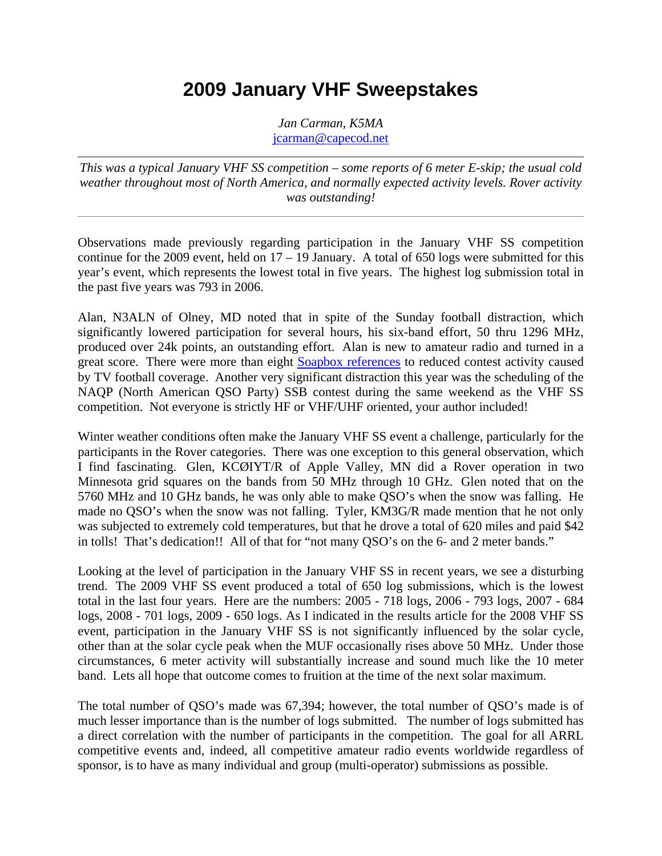*Jan Carman, K5MA* jcarman@capecod.net

*This was a typical January VHF SS competition – some reports of 6 meter E-skip; the usual cold weather throughout most of North America, and normally expected activity levels. Rover activity was outstanding!*

Observations made previously regarding participation in the January VHF SS competition continue for the 2009 event, held on  $17 - 19$  January. A total of 650 logs were submitted for this year's event, which represents the lowest total in five years. The highest log submission total in the past five years was 793 in 2006.

Alan, N3ALN of Olney, MD noted that in spite of the Sunday football distraction, which significantly lowered participation for several hours, his six-band effort, 50 thru 1296 MHz, produced over 24k points, an outstanding effort. Alan is new to amateur radio and turned in a great score. There were more than eight Soapbox references to reduced contest activity caused by TV football coverage. Another very significant distraction this year was the scheduling of the NAQP (North American QSO Party) SSB contest during the same weekend as the VHF SS competition. Not everyone is strictly HF or VHF/UHF oriented, your author included!

Winter weather conditions often make the January VHF SS event a challenge, particularly for the participants in the Rover categories. There was one exception to this general observation, which I find fascinating. Glen, KCØIYT/R of Apple Valley, MN did a Rover operation in two Minnesota grid squares on the bands from 50 MHz through 10 GHz. Glen noted that on the 5760 MHz and 10 GHz bands, he was only able to make QSO's when the snow was falling. He made no QSO's when the snow was not falling. Tyler, KM3G/R made mention that he not only was subjected to extremely cold temperatures, but that he drove a total of 620 miles and paid \$42 in tolls! That's dedication!! All of that for "not many QSO's on the 6- and 2 meter bands."

Looking at the level of participation in the January VHF SS in recent years, we see a disturbing trend. The 2009 VHF SS event produced a total of 650 log submissions, which is the lowest total in the last four years. Here are the numbers: 2005 - 718 logs, 2006 - 793 logs, 2007 - 684 logs, 2008 - 701 logs, 2009 - 650 logs. As I indicated in the results article for the 2008 VHF SS event, participation in the January VHF SS is not significantly influenced by the solar cycle, other than at the solar cycle peak when the MUF occasionally rises above 50 MHz. Under those circumstances, 6 meter activity will substantially increase and sound much like the 10 meter band. Lets all hope that outcome comes to fruition at the time of the next solar maximum.

The total number of QSO's made was 67,394; however, the total number of QSO's made is of much lesser importance than is the number of logs submitted. The number of logs submitted has a direct correlation with the number of participants in the competition. The goal for all ARRL competitive events and, indeed, all competitive amateur radio events worldwide regardless of sponsor, is to have as many individual and group (multi-operator) submissions as possible.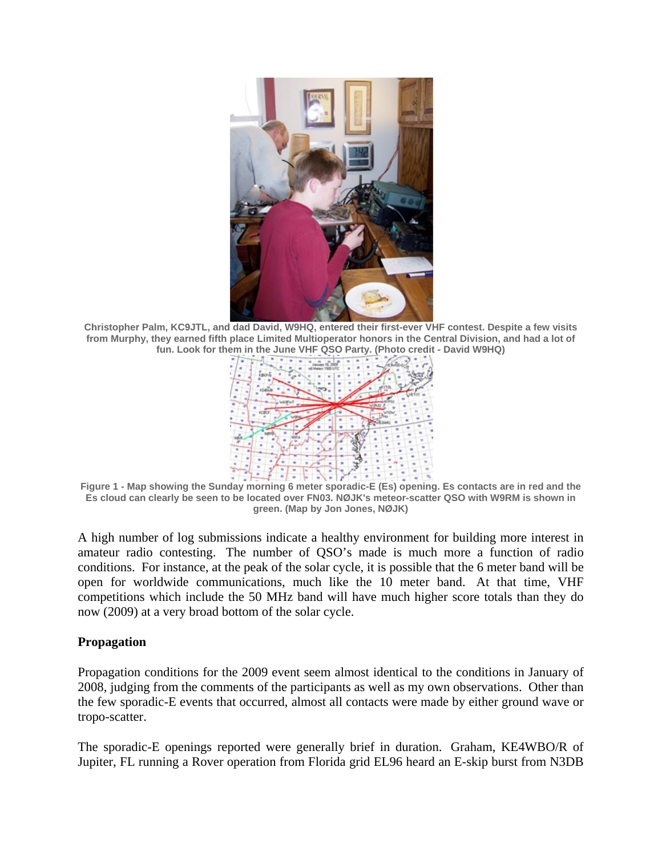

**Christopher Palm, KC9JTL, and dad David, W9HQ, entered their first-ever VHF contest. Despite a few visits from Murphy, they earned fifth place Limited Multioperator honors in the Central Division, and had a lot of fun. Look for them in the June VHF QSO Party. (Photo credit - David W9HQ)** 



**Figure 1 - Map showing the Sunday morning 6 meter sporadic-E (Es) opening. Es contacts are in red and the Es cloud can clearly be seen to be located over FN03. NØJK's meteor-scatter QSO with W9RM is shown in green. (Map by Jon Jones, NØJK)** 

A high number of log submissions indicate a healthy environment for building more interest in amateur radio contesting. The number of QSO's made is much more a function of radio conditions. For instance, at the peak of the solar cycle, it is possible that the 6 meter band will be open for worldwide communications, much like the 10 meter band. At that time, VHF competitions which include the 50 MHz band will have much higher score totals than they do now (2009) at a very broad bottom of the solar cycle.

#### **Propagation**

Propagation conditions for the 2009 event seem almost identical to the conditions in January of 2008, judging from the comments of the participants as well as my own observations. Other than the few sporadic-E events that occurred, almost all contacts were made by either ground wave or tropo-scatter.

The sporadic-E openings reported were generally brief in duration. Graham, KE4WBO/R of Jupiter, FL running a Rover operation from Florida grid EL96 heard an E-skip burst from N3DB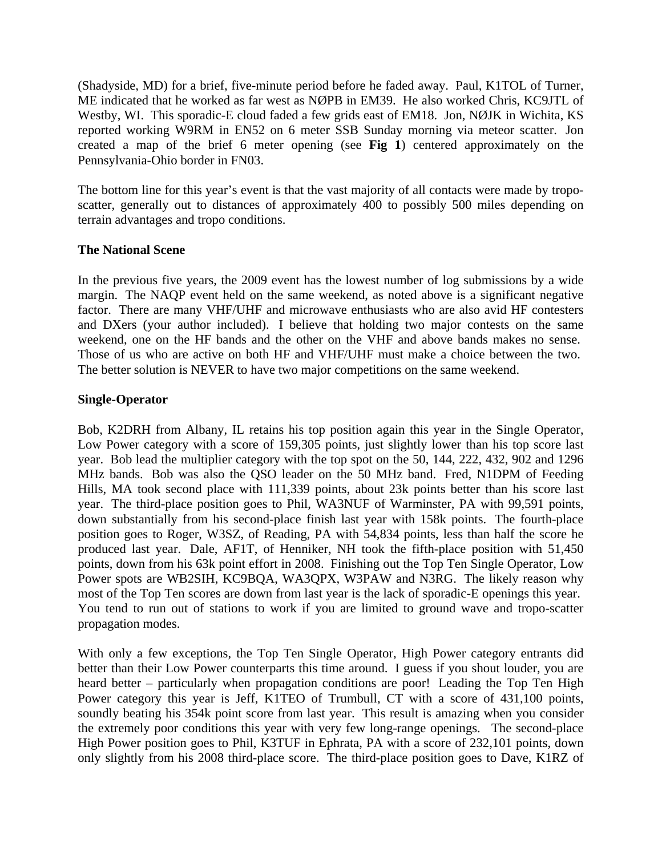(Shadyside, MD) for a brief, five-minute period before he faded away. Paul, K1TOL of Turner, ME indicated that he worked as far west as NØPB in EM39. He also worked Chris, KC9JTL of Westby, WI. This sporadic-E cloud faded a few grids east of EM18. Jon, NØJK in Wichita, KS reported working W9RM in EN52 on 6 meter SSB Sunday morning via meteor scatter. Jon created a map of the brief 6 meter opening (see **Fig 1**) centered approximately on the Pennsylvania-Ohio border in FN03.

The bottom line for this year's event is that the vast majority of all contacts were made by troposcatter, generally out to distances of approximately 400 to possibly 500 miles depending on terrain advantages and tropo conditions.

#### **The National Scene**

In the previous five years, the 2009 event has the lowest number of log submissions by a wide margin. The NAQP event held on the same weekend, as noted above is a significant negative factor. There are many VHF/UHF and microwave enthusiasts who are also avid HF contesters and DXers (your author included). I believe that holding two major contests on the same weekend, one on the HF bands and the other on the VHF and above bands makes no sense. Those of us who are active on both HF and VHF/UHF must make a choice between the two. The better solution is NEVER to have two major competitions on the same weekend.

#### **Single-Operator**

Bob, K2DRH from Albany, IL retains his top position again this year in the Single Operator, Low Power category with a score of 159,305 points, just slightly lower than his top score last year. Bob lead the multiplier category with the top spot on the 50, 144, 222, 432, 902 and 1296 MHz bands. Bob was also the QSO leader on the 50 MHz band. Fred, N1DPM of Feeding Hills, MA took second place with 111,339 points, about 23k points better than his score last year. The third-place position goes to Phil, WA3NUF of Warminster, PA with 99,591 points, down substantially from his second-place finish last year with 158k points. The fourth-place position goes to Roger, W3SZ, of Reading, PA with 54,834 points, less than half the score he produced last year. Dale, AF1T, of Henniker, NH took the fifth-place position with 51,450 points, down from his 63k point effort in 2008. Finishing out the Top Ten Single Operator, Low Power spots are WB2SIH, KC9BQA, WA3QPX, W3PAW and N3RG. The likely reason why most of the Top Ten scores are down from last year is the lack of sporadic-E openings this year. You tend to run out of stations to work if you are limited to ground wave and tropo-scatter propagation modes.

With only a few exceptions, the Top Ten Single Operator, High Power category entrants did better than their Low Power counterparts this time around. I guess if you shout louder, you are heard better – particularly when propagation conditions are poor! Leading the Top Ten High Power category this year is Jeff, K1TEO of Trumbull, CT with a score of 431,100 points, soundly beating his 354k point score from last year. This result is amazing when you consider the extremely poor conditions this year with very few long-range openings. The second-place High Power position goes to Phil, K3TUF in Ephrata, PA with a score of 232,101 points, down only slightly from his 2008 third-place score. The third-place position goes to Dave, K1RZ of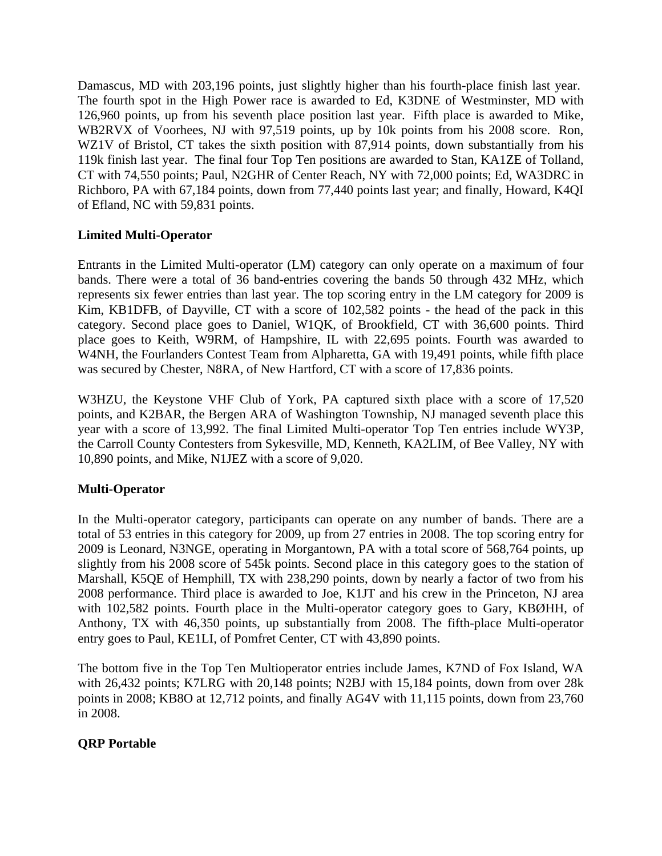Damascus, MD with 203,196 points, just slightly higher than his fourth-place finish last year. The fourth spot in the High Power race is awarded to Ed, K3DNE of Westminster, MD with 126,960 points, up from his seventh place position last year. Fifth place is awarded to Mike, WB2RVX of Voorhees, NJ with 97,519 points, up by 10k points from his 2008 score. Ron, WZ1V of Bristol, CT takes the sixth position with 87,914 points, down substantially from his 119k finish last year. The final four Top Ten positions are awarded to Stan, KA1ZE of Tolland, CT with 74,550 points; Paul, N2GHR of Center Reach, NY with 72,000 points; Ed, WA3DRC in Richboro, PA with 67,184 points, down from 77,440 points last year; and finally, Howard, K4QI of Efland, NC with 59,831 points.

#### **Limited Multi-Operator**

Entrants in the Limited Multi-operator (LM) category can only operate on a maximum of four bands. There were a total of 36 band-entries covering the bands 50 through 432 MHz, which represents six fewer entries than last year. The top scoring entry in the LM category for 2009 is Kim, KB1DFB, of Dayville, CT with a score of 102,582 points - the head of the pack in this category. Second place goes to Daniel, W1QK, of Brookfield, CT with 36,600 points. Third place goes to Keith, W9RM, of Hampshire, IL with 22,695 points. Fourth was awarded to W4NH, the Fourlanders Contest Team from Alpharetta, GA with 19,491 points, while fifth place was secured by Chester, N8RA, of New Hartford, CT with a score of 17,836 points.

W3HZU, the Keystone VHF Club of York, PA captured sixth place with a score of 17,520 points, and K2BAR, the Bergen ARA of Washington Township, NJ managed seventh place this year with a score of 13,992. The final Limited Multi-operator Top Ten entries include WY3P, the Carroll County Contesters from Sykesville, MD, Kenneth, KA2LIM, of Bee Valley, NY with 10,890 points, and Mike, N1JEZ with a score of 9,020.

#### **Multi-Operator**

In the Multi-operator category, participants can operate on any number of bands. There are a total of 53 entries in this category for 2009, up from 27 entries in 2008. The top scoring entry for 2009 is Leonard, N3NGE, operating in Morgantown, PA with a total score of 568,764 points, up slightly from his 2008 score of 545k points. Second place in this category goes to the station of Marshall, K5QE of Hemphill, TX with 238,290 points, down by nearly a factor of two from his 2008 performance. Third place is awarded to Joe, K1JT and his crew in the Princeton, NJ area with 102,582 points. Fourth place in the Multi-operator category goes to Gary, KBØHH, of Anthony, TX with 46,350 points, up substantially from 2008. The fifth-place Multi-operator entry goes to Paul, KE1LI, of Pomfret Center, CT with 43,890 points.

The bottom five in the Top Ten Multioperator entries include James, K7ND of Fox Island, WA with 26,432 points; K7LRG with 20,148 points; N2BJ with 15,184 points, down from over 28k points in 2008; KB8O at 12,712 points, and finally AG4V with 11,115 points, down from 23,760 in 2008.

#### **QRP Portable**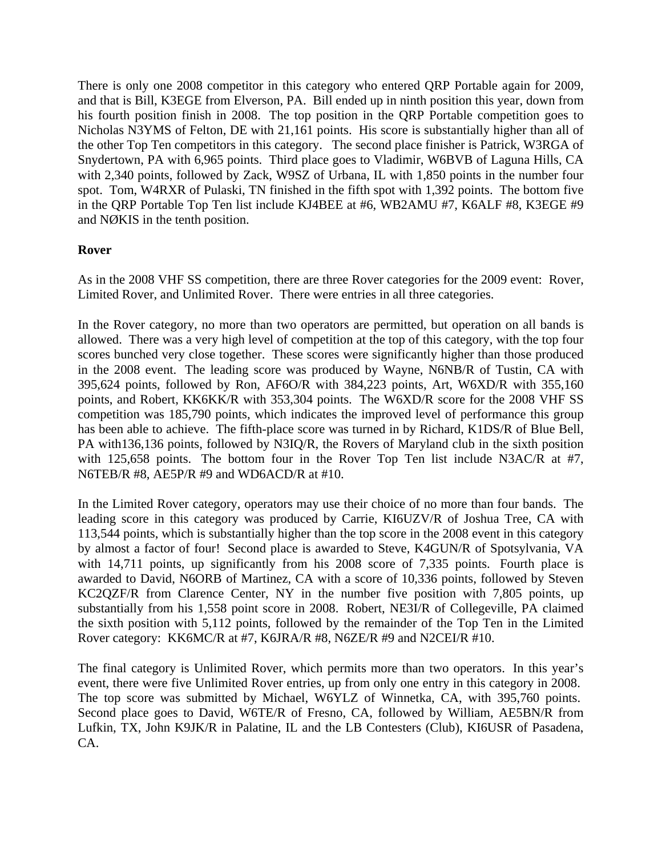There is only one 2008 competitor in this category who entered QRP Portable again for 2009, and that is Bill, K3EGE from Elverson, PA. Bill ended up in ninth position this year, down from his fourth position finish in 2008. The top position in the QRP Portable competition goes to Nicholas N3YMS of Felton, DE with 21,161 points. His score is substantially higher than all of the other Top Ten competitors in this category. The second place finisher is Patrick, W3RGA of Snydertown, PA with 6,965 points. Third place goes to Vladimir, W6BVB of Laguna Hills, CA with 2,340 points, followed by Zack, W9SZ of Urbana, IL with 1,850 points in the number four spot. Tom, W4RXR of Pulaski, TN finished in the fifth spot with 1,392 points. The bottom five in the QRP Portable Top Ten list include KJ4BEE at #6, WB2AMU #7, K6ALF #8, K3EGE #9 and NØKIS in the tenth position.

#### **Rover**

As in the 2008 VHF SS competition, there are three Rover categories for the 2009 event: Rover, Limited Rover, and Unlimited Rover. There were entries in all three categories.

In the Rover category, no more than two operators are permitted, but operation on all bands is allowed. There was a very high level of competition at the top of this category, with the top four scores bunched very close together. These scores were significantly higher than those produced in the 2008 event. The leading score was produced by Wayne, N6NB/R of Tustin, CA with 395,624 points, followed by Ron, AF6O/R with 384,223 points, Art, W6XD/R with 355,160 points, and Robert, KK6KK/R with 353,304 points. The W6XD/R score for the 2008 VHF SS competition was 185,790 points, which indicates the improved level of performance this group has been able to achieve. The fifth-place score was turned in by Richard, K1DS/R of Blue Bell, PA with136,136 points, followed by N3IQ/R, the Rovers of Maryland club in the sixth position with 125,658 points. The bottom four in the Rover Top Ten list include N3AC/R at #7, N6TEB/R #8, AE5P/R #9 and WD6ACD/R at #10.

In the Limited Rover category, operators may use their choice of no more than four bands. The leading score in this category was produced by Carrie, KI6UZV/R of Joshua Tree, CA with 113,544 points, which is substantially higher than the top score in the 2008 event in this category by almost a factor of four! Second place is awarded to Steve, K4GUN/R of Spotsylvania, VA with 14,711 points, up significantly from his 2008 score of 7,335 points. Fourth place is awarded to David, N6ORB of Martinez, CA with a score of 10,336 points, followed by Steven KC2QZF/R from Clarence Center, NY in the number five position with 7,805 points, up substantially from his 1,558 point score in 2008. Robert, NE3I/R of Collegeville, PA claimed the sixth position with 5,112 points, followed by the remainder of the Top Ten in the Limited Rover category: KK6MC/R at #7, K6JRA/R #8, N6ZE/R #9 and N2CEI/R #10.

The final category is Unlimited Rover, which permits more than two operators. In this year's event, there were five Unlimited Rover entries, up from only one entry in this category in 2008. The top score was submitted by Michael, W6YLZ of Winnetka, CA, with 395,760 points. Second place goes to David, W6TE/R of Fresno, CA, followed by William, AE5BN/R from Lufkin, TX, John K9JK/R in Palatine, IL and the LB Contesters (Club), KI6USR of Pasadena, CA.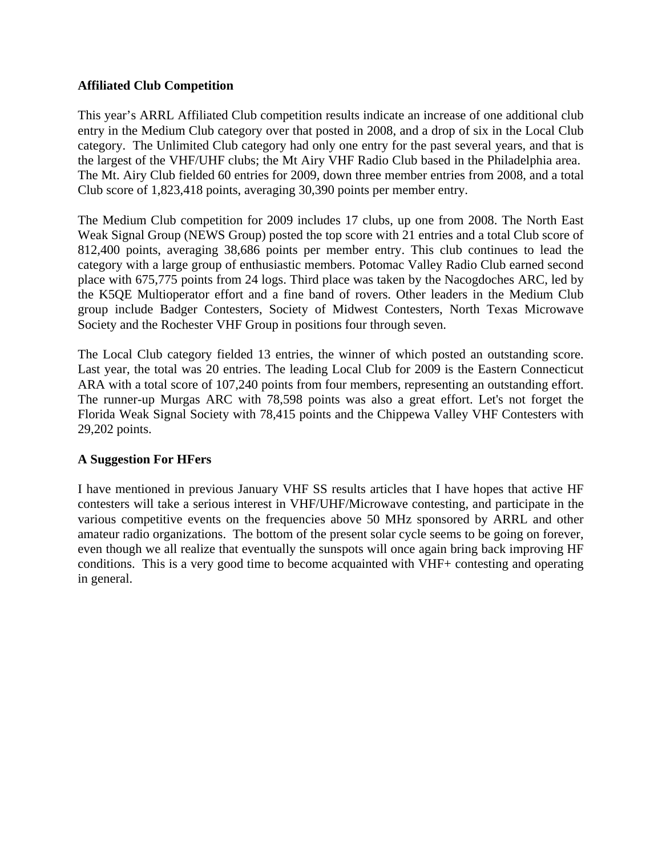#### **Affiliated Club Competition**

This year's ARRL Affiliated Club competition results indicate an increase of one additional club entry in the Medium Club category over that posted in 2008, and a drop of six in the Local Club category. The Unlimited Club category had only one entry for the past several years, and that is the largest of the VHF/UHF clubs; the Mt Airy VHF Radio Club based in the Philadelphia area. The Mt. Airy Club fielded 60 entries for 2009, down three member entries from 2008, and a total Club score of 1,823,418 points, averaging 30,390 points per member entry.

The Medium Club competition for 2009 includes 17 clubs, up one from 2008. The North East Weak Signal Group (NEWS Group) posted the top score with 21 entries and a total Club score of 812,400 points, averaging 38,686 points per member entry. This club continues to lead the category with a large group of enthusiastic members. Potomac Valley Radio Club earned second place with 675,775 points from 24 logs. Third place was taken by the Nacogdoches ARC, led by the K5QE Multioperator effort and a fine band of rovers. Other leaders in the Medium Club group include Badger Contesters, Society of Midwest Contesters, North Texas Microwave Society and the Rochester VHF Group in positions four through seven.

The Local Club category fielded 13 entries, the winner of which posted an outstanding score. Last year, the total was 20 entries. The leading Local Club for 2009 is the Eastern Connecticut ARA with a total score of 107,240 points from four members, representing an outstanding effort. The runner-up Murgas ARC with 78,598 points was also a great effort. Let's not forget the Florida Weak Signal Society with 78,415 points and the Chippewa Valley VHF Contesters with 29,202 points.

#### **A Suggestion For HFers**

I have mentioned in previous January VHF SS results articles that I have hopes that active HF contesters will take a serious interest in VHF/UHF/Microwave contesting, and participate in the various competitive events on the frequencies above 50 MHz sponsored by ARRL and other amateur radio organizations. The bottom of the present solar cycle seems to be going on forever, even though we all realize that eventually the sunspots will once again bring back improving HF conditions. This is a very good time to become acquainted with VHF+ contesting and operating in general.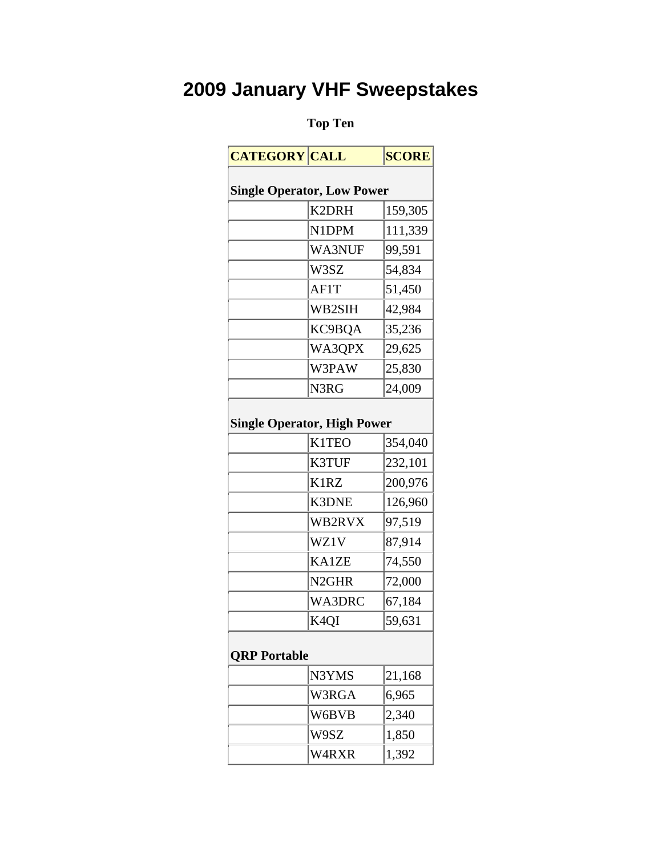### **Top Ten**

| <b>CATEGORY CALL</b>              |                                    | <b>SCORE</b> |
|-----------------------------------|------------------------------------|--------------|
| <b>Single Operator, Low Power</b> |                                    |              |
|                                   | K2DRH                              | 159,305      |
|                                   | N1DPM                              | 111,339      |
|                                   | WA3NUF                             | 99,591       |
|                                   | W3SZ                               | 54,834       |
|                                   | AF1T                               | 51,450       |
|                                   | WB2SIH                             | 42,984       |
|                                   | KC9BOA                             | 35,236       |
|                                   | WA3QPX                             | 29,625       |
|                                   | W3PAW                              | 25,830       |
|                                   | N3RG                               | 24,009       |
|                                   |                                    |              |
|                                   | <b>Single Operator, High Power</b> |              |
|                                   | <b>K1TEO</b>                       | 354,040      |
|                                   | K3TUF                              | 232,101      |
|                                   | K1RZ                               | 200,976      |
|                                   | <b>K3DNE</b>                       | 126,960      |
|                                   | WB2RVX                             | 97,519       |
|                                   | WZ1V                               | 87,914       |
|                                   | <b>KA1ZE</b>                       | 74,550       |
|                                   | N <sub>2GHR</sub>                  | 72,000       |
|                                   | <b>WA3DRC</b>                      | 67,184       |
|                                   | K4QI                               | 59,631       |
|                                   |                                    |              |
| <b>QRP</b> Portable               |                                    |              |
|                                   | N3YMS                              | 21,168       |
|                                   | W3RGA                              | 6,965        |
|                                   | W6BVB                              | 2,340        |
|                                   | W9SZ                               | 1,850        |
|                                   | W4RXR                              | 1,392        |
|                                   |                                    |              |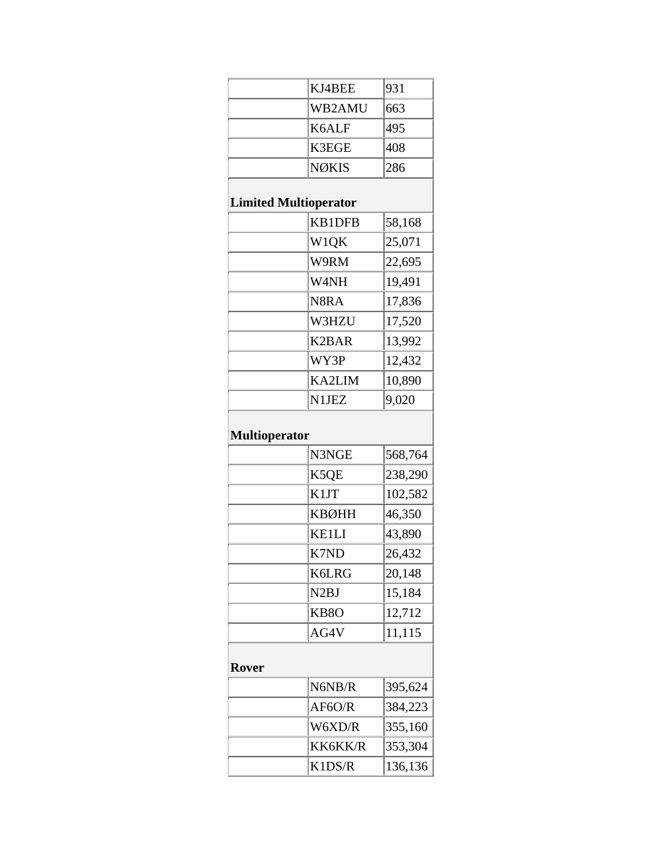|                      | KJ4BEE                       | 931     |
|----------------------|------------------------------|---------|
|                      | WB2AMU                       | 663     |
|                      | K6ALF                        | 495     |
|                      | K3EGE                        | 408     |
|                      | <b>NØKIS</b>                 | 286     |
|                      |                              |         |
|                      | <b>Limited Multioperator</b> |         |
|                      | <b>KB1DFB</b>                | 58,168  |
|                      | W1QK                         | 25,071  |
|                      | W9RM                         | 22,695  |
|                      | W4NH                         | 19,491  |
|                      | N8RA                         | 17,836  |
|                      | W3HZU                        | 17,520  |
|                      | <b>K2BAR</b>                 | 13,992  |
|                      | WY3P                         | 12,432  |
|                      | <b>KA2LIM</b>                | 10,890  |
|                      | N1JEZ                        | 9,020   |
|                      |                              |         |
| <b>Multioperator</b> |                              |         |
|                      | N3NGE                        | 568,764 |
|                      | K5QE                         | 238,290 |
|                      | K1JT                         | 102,582 |
|                      | <b>KBØHH</b>                 | 46,350  |
|                      | <b>KE1LI</b>                 | 43,890  |
|                      | K7ND                         | 26,432  |
|                      | <b>K6LRG</b>                 | 20,148  |
|                      | N <sub>2</sub> BJ            | 15,184  |
|                      | KB <sub>80</sub>             | 12,712  |
|                      | AG4V                         | 11,115  |
|                      |                              |         |
| <b>Rover</b>         |                              |         |
|                      | N6NB/R                       | 395,624 |
|                      | AF6O/R                       | 384,223 |
|                      | W6XD/R                       | 355,160 |
|                      | KK6KK/R                      | 353,304 |
|                      | K1DS/R                       | 136,136 |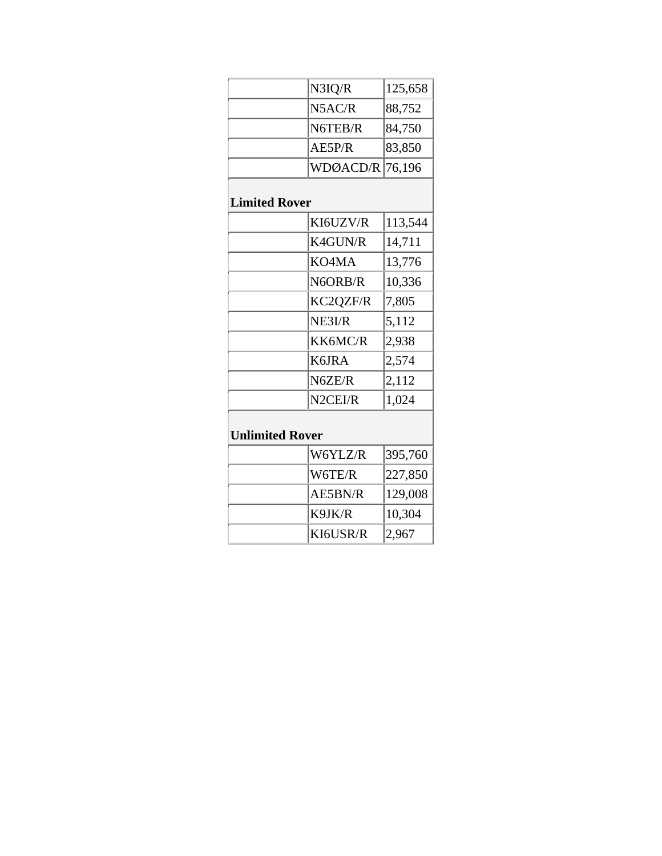|                        | N3IQ/R         | 125,658 |  |  |
|------------------------|----------------|---------|--|--|
|                        | N5AC/R         | 88,752  |  |  |
|                        | N6TEB/R        | 84,750  |  |  |
|                        | AE5P/R         | 83,850  |  |  |
|                        | WDØACD/R       | 76,196  |  |  |
| <b>Limited Rover</b>   |                |         |  |  |
|                        | KI6UZV/R       | 113,544 |  |  |
|                        | K4GUN/R        | 14,711  |  |  |
|                        | KO4MA          | 13,776  |  |  |
|                        | N6ORB/R        | 10,336  |  |  |
|                        | KC2QZF/R       | 7,805   |  |  |
|                        | NE3I/R         | 5,112   |  |  |
|                        | KK6MC/R        | 2,938   |  |  |
|                        | K6JRA          | 2,574   |  |  |
|                        | N6ZE/R         | 2,112   |  |  |
|                        | N2CEI/R        | 1,024   |  |  |
| <b>Unlimited Rover</b> |                |         |  |  |
|                        | W6YLZ/R        | 395,760 |  |  |
|                        | W6TE/R         | 227,850 |  |  |
|                        | <b>AE5BN/R</b> | 129,008 |  |  |
|                        | K9JK/R         | 10,304  |  |  |
|                        | KI6USR/R       | 2,967   |  |  |
|                        |                |         |  |  |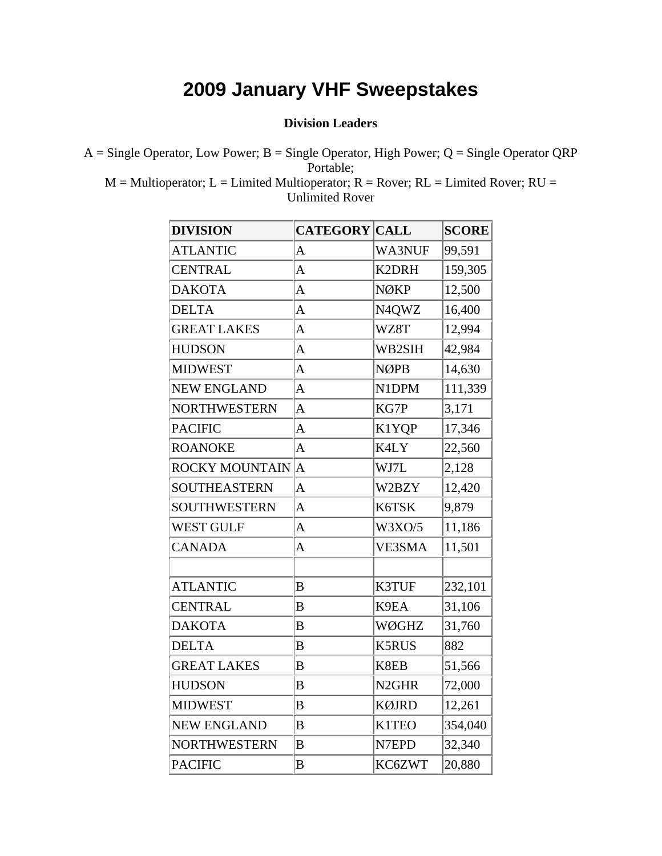#### **Division Leaders**

 $A =$  Single Operator, Low Power; B = Single Operator, High Power; Q = Single Operator QRP Portable;

 $M = Multi operator; L = Limited Multi operator; R = Rover; RL = Limited Rover; RU =$ Unlimited Rover

| <b>DIVISION</b>       | <b>CATEGORY CALL</b> |                   | <b>SCORE</b> |
|-----------------------|----------------------|-------------------|--------------|
| <b>ATLANTIC</b>       | A                    | WA3NUF            | 99,591       |
| <b>CENTRAL</b>        | A                    | K2DRH             | 159,305      |
| <b>DAKOTA</b>         | A                    | <b>NØKP</b>       | 12,500       |
| <b>DELTA</b>          | $\overline{A}$       | N4QWZ             | 16,400       |
| <b>GREAT LAKES</b>    | A                    | WZ8T              | 12,994       |
| <b>HUDSON</b>         | A                    | WB2SIH            | 42,984       |
| <b>MIDWEST</b>        | $\overline{A}$       | <b>NØPB</b>       | 14,630       |
| <b>NEW ENGLAND</b>    | A                    | N1DPM             | 111,339      |
| NORTHWESTERN          | A                    | KG7P              | 3,171        |
| <b>PACIFIC</b>        | A                    | K1YQP             | 17,346       |
| <b>ROANOKE</b>        | $\overline{A}$       | K4LY              | 22,560       |
| <b>ROCKY MOUNTAIN</b> | $\overline{A}$       | WJ7L              | 2,128        |
| <b>SOUTHEASTERN</b>   | $\overline{A}$       | W2BZY             | 12,420       |
| SOUTHWESTERN          | $\overline{A}$       | K6TSK             | 9,879        |
| <b>WEST GULF</b>      | A                    | W3XO/5            | 11,186       |
| <b>CANADA</b>         | A                    | VE3SMA            | 11,501       |
|                       |                      |                   |              |
| <b>ATLANTIC</b>       | B                    | K3TUF             | 232,101      |
| <b>CENTRAL</b>        | B                    | K9EA              | 31,106       |
| <b>DAKOTA</b>         | B                    | WØGHZ             | 31,760       |
| <b>DELTA</b>          | B                    | <b>K5RUS</b>      | 882          |
| <b>GREAT LAKES</b>    | B                    | K8EB              | 51,566       |
| <b>HUDSON</b>         | B                    | N <sub>2GHR</sub> | 72,000       |
| <b>MIDWEST</b>        | B                    | <b>KØJRD</b>      | 12,261       |
| <b>NEW ENGLAND</b>    | B                    | <b>K1TEO</b>      | 354,040      |
| <b>NORTHWESTERN</b>   | $\bf{B}$             | N7EPD             | 32,340       |
| <b>PACIFIC</b>        | B                    | KC6ZWT            | 20,880       |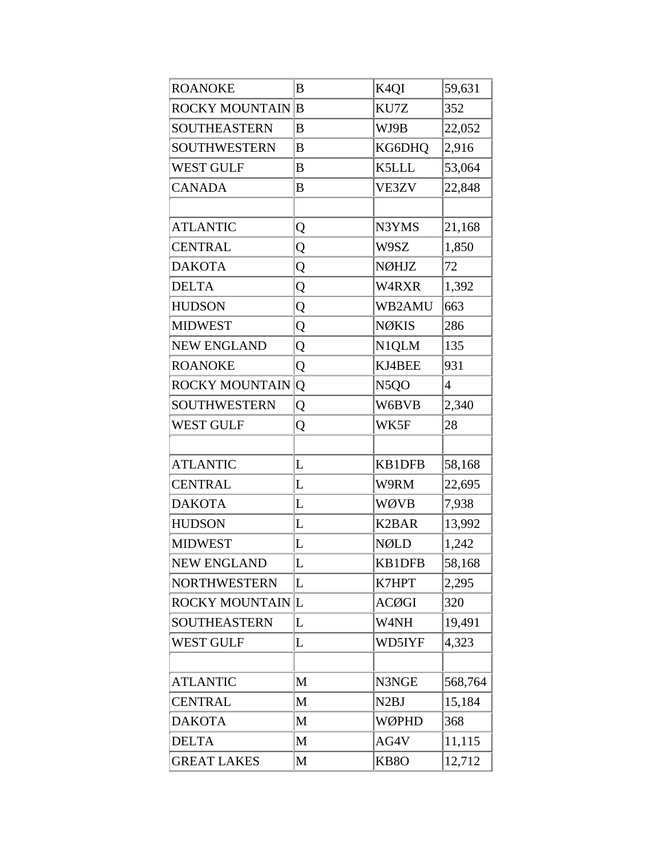| <b>ROANOKE</b>         | $\boldsymbol{B}$ | K <sub>4</sub> QI  | 59,631         |
|------------------------|------------------|--------------------|----------------|
| <b>ROCKY MOUNTAIN</b>  | $\overline{B}$   | KU7Z               | 352            |
| <b>SOUTHEASTERN</b>    | B                | WJ9B               | 22,052         |
| <b>SOUTHWESTERN</b>    | B                | KG6DHQ             | 2,916          |
| <b>WEST GULF</b>       | B                | K5LLL              | 53,064         |
| <b>CANADA</b>          | B                | VE3ZV              | 22,848         |
|                        |                  |                    |                |
| <b>ATLANTIC</b>        | Q                | N3YMS              | 21,168         |
| <b>CENTRAL</b>         | Q                | W9SZ               | 1,850          |
| <b>DAKOTA</b>          | Q                | <b>NØHJZ</b>       | 72             |
| <b>DELTA</b>           | Q                | W4RXR              | 1,392          |
| <b>HUDSON</b>          | Q                | WB2AMU             | 663            |
| <b>MIDWEST</b>         | Q                | <b>NØKIS</b>       | 286            |
| <b>NEW ENGLAND</b>     | Q                | N1QLM              | 135            |
| <b>ROANOKE</b>         | Q                | KJ4BEE             | 931            |
| <b>ROCKY MOUNTAIN</b>  | Q                | N <sub>5</sub> QO  | $\overline{4}$ |
| <b>SOUTHWESTERN</b>    | Q                | W6BVB              | 2,340          |
| <b>WEST GULF</b>       | Q                | WK5F               | 28             |
|                        |                  |                    |                |
| <b>ATLANTIC</b>        | L                | <b>KB1DFB</b>      | 58,168         |
| <b>CENTRAL</b>         | L                | W9RM               | 22,695         |
| <b>DAKOTA</b>          | L                | <b>WØVB</b>        | 7,938          |
| <b>HUDSON</b>          | L                | K <sub>2</sub> BAR | 13,992         |
| <b>MIDWEST</b>         | L                | <b>NØLD</b>        | 1,242          |
| <b>NEW ENGLAND</b>     | L                | <b>KB1DFB</b>      | 58,168         |
| <b>NORTHWESTERN</b>    | L                | K7HPT              | 2,295          |
| <b>ROCKY MOUNTAINL</b> |                  | <b>ACØGI</b>       | 320            |
| <b>SOUTHEASTERN</b>    | L                | W4NH               | 19,491         |
| <b>WEST GULF</b>       | L                | WD5IYF             | 4,323          |
|                        |                  |                    |                |
| <b>ATLANTIC</b>        | M                | N3NGE              | 568,764        |
| <b>CENTRAL</b>         | $\mathbf{M}$     | N <sub>2</sub> BJ  | 15,184         |
| <b>DAKOTA</b>          | M                | WØPHD              | 368            |
| <b>DELTA</b>           | $\mathbf{M}$     | AG4V               | 11,115         |
| <b>GREAT LAKES</b>     | M                | KB <sub>8</sub> O  | 12,712         |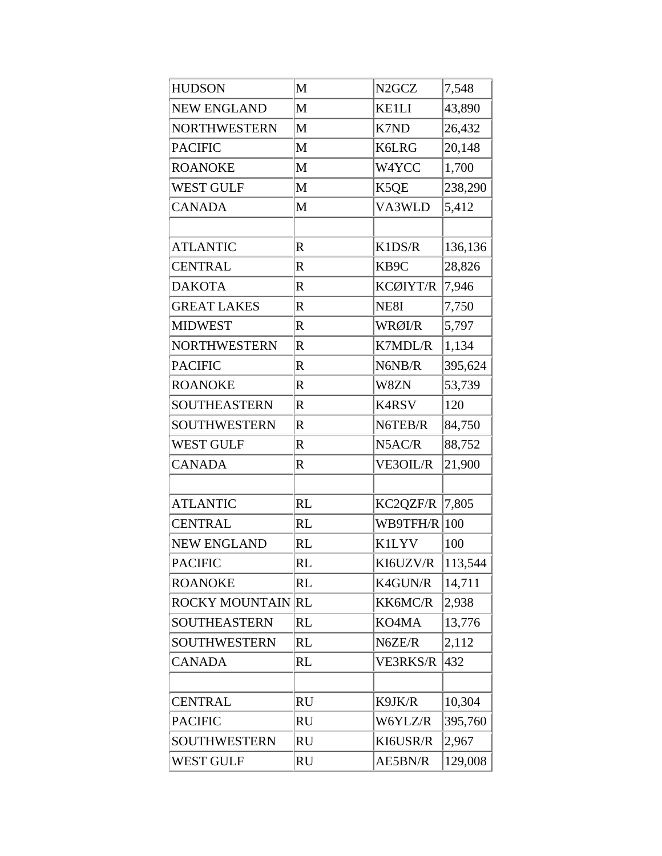| <b>HUDSON</b>            | M            | N <sub>2GCZ</sub> | 7,548   |
|--------------------------|--------------|-------------------|---------|
| <b>NEW ENGLAND</b>       | M            | <b>KE1LI</b>      | 43,890  |
| <b>NORTHWESTERN</b>      | M            | K7ND              | 26,432  |
| <b>PACIFIC</b>           | M            | <b>K6LRG</b>      | 20,148  |
| <b>ROANOKE</b>           | $\mathbf{M}$ | W4YCC             | 1,700   |
| <b>WEST GULF</b>         | M            | K5QE              | 238,290 |
| <b>CANADA</b>            | M            | VA3WLD            | 5,412   |
|                          |              |                   |         |
| <b>ATLANTIC</b>          | $\mathbf R$  | K1DS/R            | 136,136 |
| <b>CENTRAL</b>           | $\mathbb{R}$ | KB9C              | 28,826  |
| <b>DAKOTA</b>            | $\mathbf R$  | KCØIYT/R          | 7,946   |
| <b>GREAT LAKES</b>       | $\mathbb{R}$ | NE8I              | 7,750   |
| <b>MIDWEST</b>           | $\mathbf R$  | WRØI/R            | 5,797   |
| <b>NORTHWESTERN</b>      | $\mathbf R$  | K7MDL/R           | 1,134   |
| <b>PACIFIC</b>           | $\mathbb{R}$ | N6NB/R            | 395,624 |
| <b>ROANOKE</b>           | $\mathbb{R}$ | W8ZN              | 53,739  |
| <b>SOUTHEASTERN</b>      | $\mathbf R$  | <b>K4RSV</b>      | 120     |
| SOUTHWESTERN             | $\mathbf R$  | N6TEB/R           | 84,750  |
| <b>WEST GULF</b>         | $\mathbf R$  | N5AC/R            | 88,752  |
| <b>CANADA</b>            | $\mathbb{R}$ | VE3OIL/R          | 21,900  |
|                          |              |                   |         |
| <b>ATLANTIC</b>          | <b>RL</b>    | KC2QZF/R          | 7,805   |
| <b>CENTRAL</b>           | <b>RL</b>    | WB9TFH/R   100    |         |
| <b>NEW ENGLAND</b>       | <b>RL</b>    | <b>K1LYV</b>      | 100     |
| <b>PACIFIC</b>           | <b>RL</b>    | KI6UZV/R          | 113,544 |
| <b>ROANOKE</b>           | <b>RL</b>    | K4GUN/R           | 14,711  |
| <b>ROCKY MOUNTAIN RL</b> |              | KK6MC/R           | 2,938   |
| <b>SOUTHEASTERN</b>      | <b>RL</b>    | KO4MA             | 13,776  |
| <b>SOUTHWESTERN</b>      | <b>RL</b>    | N6ZE/R            | 2,112   |
| <b>CANADA</b>            | <b>RL</b>    | <b>VE3RKS/R</b>   | 432     |
|                          |              |                   |         |
| <b>CENTRAL</b>           | <b>RU</b>    | K9JK/R            | 10,304  |
| <b>PACIFIC</b>           | <b>RU</b>    | W6YLZ/R           | 395,760 |
| <b>SOUTHWESTERN</b>      | <b>RU</b>    | KI6USR/R          | 2,967   |
| <b>WEST GULF</b>         | <b>RU</b>    | AE5BN/R           | 129,008 |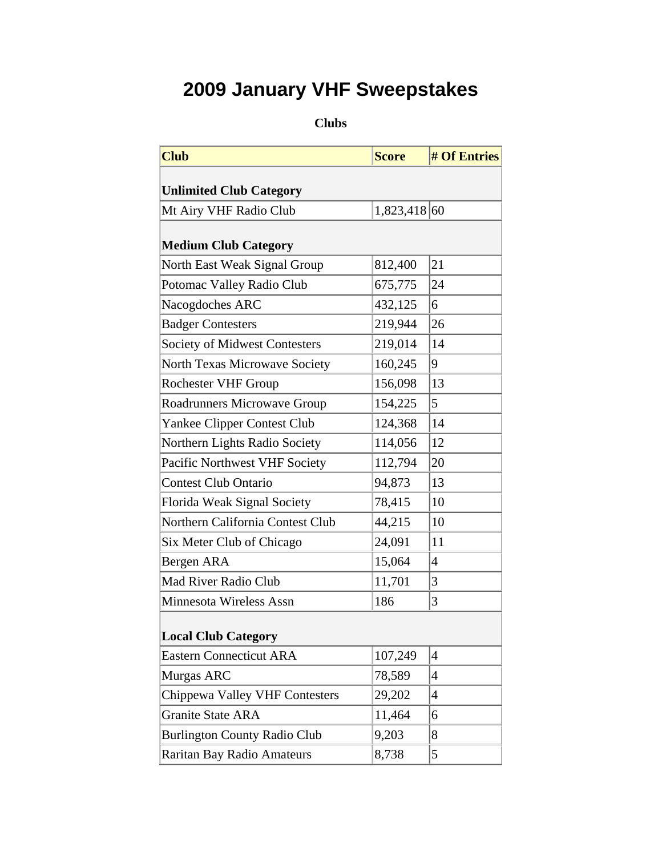**Clubs** 

| <b>Club</b>                           | <b>Score</b> | <b># Of Entries</b>      |  |  |  |
|---------------------------------------|--------------|--------------------------|--|--|--|
| <b>Unlimited Club Category</b>        |              |                          |  |  |  |
| Mt Airy VHF Radio Club                | 1,823,418 60 |                          |  |  |  |
|                                       |              |                          |  |  |  |
| <b>Medium Club Category</b>           |              |                          |  |  |  |
| North East Weak Signal Group          | 812,400      | 21                       |  |  |  |
| Potomac Valley Radio Club             | 675,775      | 24                       |  |  |  |
| Nacogdoches ARC                       | 432,125      | 6                        |  |  |  |
| <b>Badger Contesters</b>              | 219,944      | 26                       |  |  |  |
| <b>Society of Midwest Contesters</b>  | 219,014      | 14                       |  |  |  |
| <b>North Texas Microwave Society</b>  | 160,245      | 9                        |  |  |  |
| <b>Rochester VHF Group</b>            | 156,098      | 13                       |  |  |  |
| Roadrunners Microwave Group           | 154,225      | 5                        |  |  |  |
| Yankee Clipper Contest Club           | 124,368      | 14                       |  |  |  |
| Northern Lights Radio Society         | 114,056      | 12                       |  |  |  |
| Pacific Northwest VHF Society         | 112,794      | 20                       |  |  |  |
| <b>Contest Club Ontario</b>           | 94,873       | 13                       |  |  |  |
| Florida Weak Signal Society           | 78,415       | 10                       |  |  |  |
| Northern California Contest Club      | 44,215       | 10                       |  |  |  |
| Six Meter Club of Chicago             | 24,091       | 11                       |  |  |  |
| Bergen ARA                            | 15,064       | $\overline{4}$           |  |  |  |
| <b>Mad River Radio Club</b>           | 11,701       | 3                        |  |  |  |
| Minnesota Wireless Assn               | 186          | 3                        |  |  |  |
| <b>Local Club Category</b>            |              |                          |  |  |  |
| <b>Eastern Connecticut ARA</b>        | 107,249      | $\overline{4}$           |  |  |  |
| Murgas ARC                            | 78,589       | $\overline{\mathcal{A}}$ |  |  |  |
| <b>Chippewa Valley VHF Contesters</b> | 29,202       | $\overline{4}$           |  |  |  |
| <b>Granite State ARA</b>              | 11,464       | 6                        |  |  |  |
| <b>Burlington County Radio Club</b>   | 9,203        | 8                        |  |  |  |
| <b>Raritan Bay Radio Amateurs</b>     | 8,738        | 5                        |  |  |  |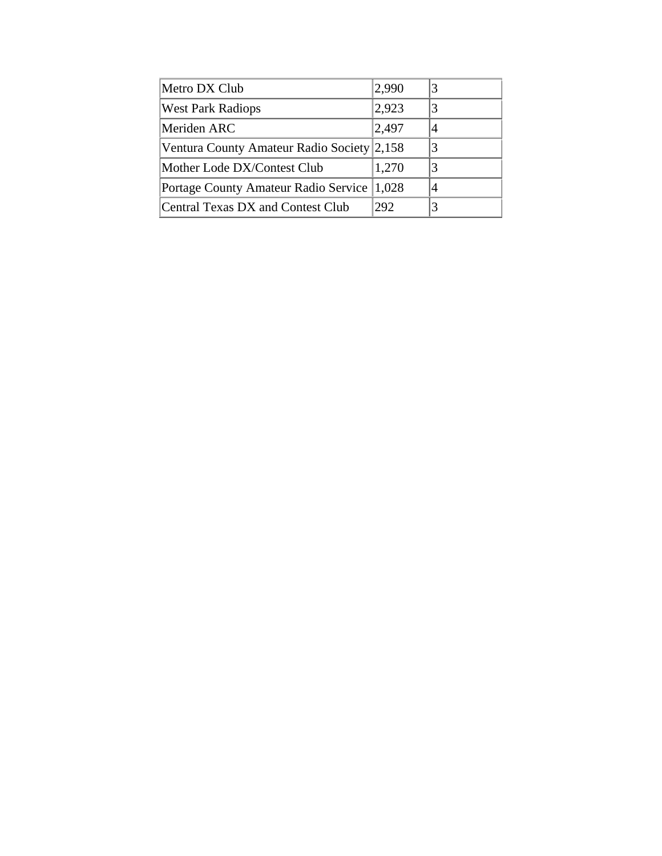| Metro DX Club                              | 2,990 | 3 |
|--------------------------------------------|-------|---|
| <b>West Park Radiops</b>                   | 2,923 |   |
| Meriden ARC                                | 2,497 |   |
| Ventura County Amateur Radio Society 2,158 |       | 3 |
| Mother Lode DX/Contest Club                | 1,270 | 3 |
| Portage County Amateur Radio Service       | 1,028 |   |
| Central Texas DX and Contest Club          | 292   | 3 |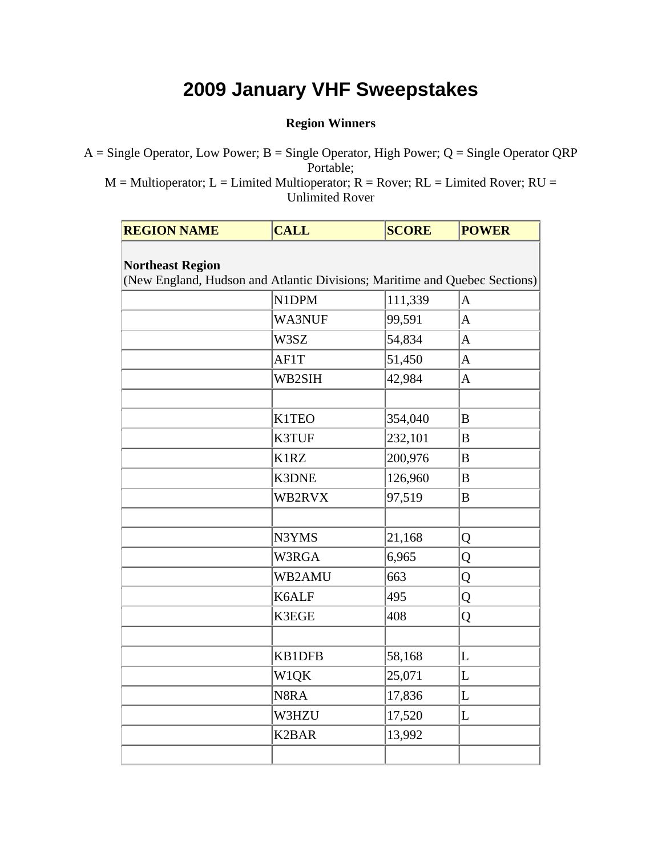#### **Region Winners**

 $A =$  Single Operator, Low Power; B = Single Operator, High Power; Q = Single Operator QRP Portable;

 $M = Multi operator; L = Limited Multi operator; R = Rover; RL = Limited Rover; RU =$ Unlimited Rover

| <b>REGION NAME</b>                                                                                    | <b>CALL</b>        | <b>SCORE</b> | <b>POWER</b>   |
|-------------------------------------------------------------------------------------------------------|--------------------|--------------|----------------|
|                                                                                                       |                    |              |                |
| <b>Northeast Region</b><br>(New England, Hudson and Atlantic Divisions; Maritime and Quebec Sections) |                    |              |                |
|                                                                                                       | N1DPM              | 111,339      | $\mathbf{A}$   |
|                                                                                                       | WA3NUF             | 99,591       | $\overline{A}$ |
|                                                                                                       | W3SZ               | 54,834       | $\mathbf{A}$   |
|                                                                                                       | AF1T               | 51,450       | $\mathbf{A}$   |
|                                                                                                       | WB2SIH             | 42,984       | A              |
|                                                                                                       |                    |              |                |
|                                                                                                       |                    |              |                |
|                                                                                                       | K1TEO              | 354,040      | B              |
|                                                                                                       | K3TUF              | 232,101      | B              |
|                                                                                                       | K1RZ               | 200,976      | B              |
|                                                                                                       | <b>K3DNE</b>       | 126,960      | B              |
|                                                                                                       | WB2RVX             | 97,519       | B              |
|                                                                                                       |                    |              |                |
|                                                                                                       | N3YMS              | 21,168       | Q              |
|                                                                                                       | W3RGA              | 6,965        | Q              |
|                                                                                                       | WB2AMU             | 663          | Q              |
|                                                                                                       | K6ALF              | 495          | Q              |
|                                                                                                       | K3EGE              | 408          | Q              |
|                                                                                                       |                    |              |                |
|                                                                                                       | KB1DFB             | 58,168       | L              |
|                                                                                                       | W1QK               | 25,071       | L              |
|                                                                                                       | N8RA               | 17,836       | L              |
|                                                                                                       | W3HZU              | 17,520       | L              |
|                                                                                                       | K <sub>2</sub> BAR | 13,992       |                |
|                                                                                                       |                    |              |                |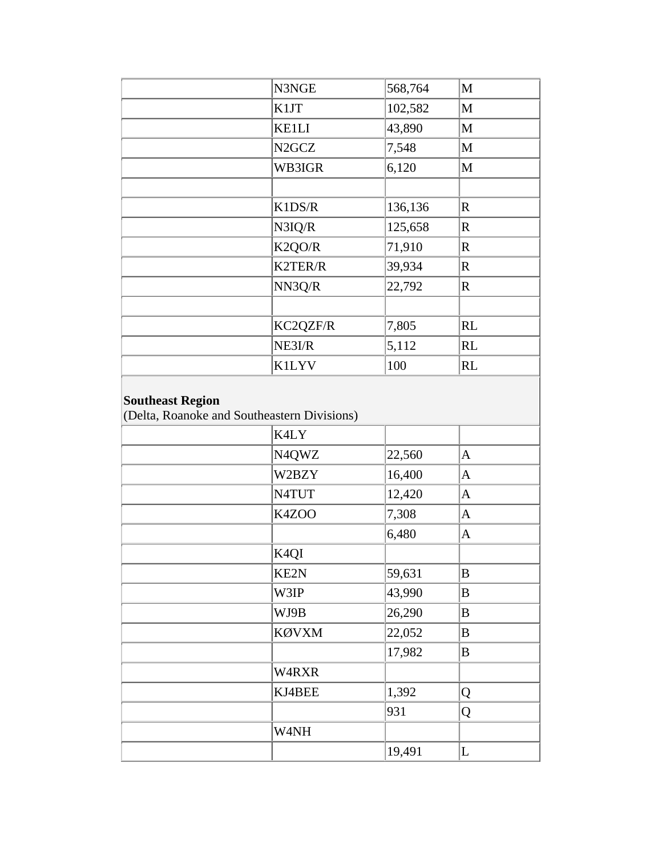|                         | N3NGE                                       | 568,764 | $\mathbf{M}$ |
|-------------------------|---------------------------------------------|---------|--------------|
|                         | K1JT                                        | 102,582 | $\mathbf{M}$ |
|                         | <b>KE1LI</b>                                | 43,890  | $\mathbf M$  |
|                         | N <sub>2GCZ</sub>                           | 7,548   | $\mathbf M$  |
|                         | WB3IGR                                      | 6,120   | M            |
|                         |                                             |         |              |
|                         | K1DS/R                                      | 136,136 | $\mathbf R$  |
|                         | N3IQ/R                                      | 125,658 | $\mathbf R$  |
|                         | K2QO/R                                      | 71,910  | $\mathbf R$  |
|                         | K2TER/R                                     | 39,934  | $\mathbf R$  |
|                         | NN3Q/R                                      | 22,792  | $\mathbf R$  |
|                         |                                             |         |              |
|                         | KC2QZF/R                                    | 7,805   | RL           |
|                         | NE3I/R                                      | 5,112   | RL           |
|                         | <b>K1LYV</b>                                | 100     | RL           |
| <b>Southeast Region</b> | (Delta, Roanoke and Southeastern Divisions) |         |              |
|                         | K4LY                                        |         |              |
|                         | N4QWZ                                       | 22,560  | $\mathbf{A}$ |
|                         | W2BZY                                       | 16,400  | $\mathbf{A}$ |
|                         | N4TUT                                       | 12,420  | $\mathbf{A}$ |
|                         | K4ZOO                                       | 7,308   | $\mathbf{A}$ |
|                         |                                             | 6,480   | $\mathbf{A}$ |
|                         | K <sub>4</sub> QI                           |         |              |
|                         | KE2N                                        | 59,631  | B            |
|                         | W3IP                                        | 43,990  | $\bf{B}$     |
|                         | WJ9B                                        | 26,290  | $\bf{B}$     |
|                         | KØVXM                                       | 22,052  | B            |
|                         |                                             | 17,982  | $\bf{B}$     |
|                         | W4RXR                                       |         |              |
|                         | KJ4BEE                                      | 1,392   | Q            |
|                         |                                             | 931     | Q            |
|                         | W4NH                                        |         |              |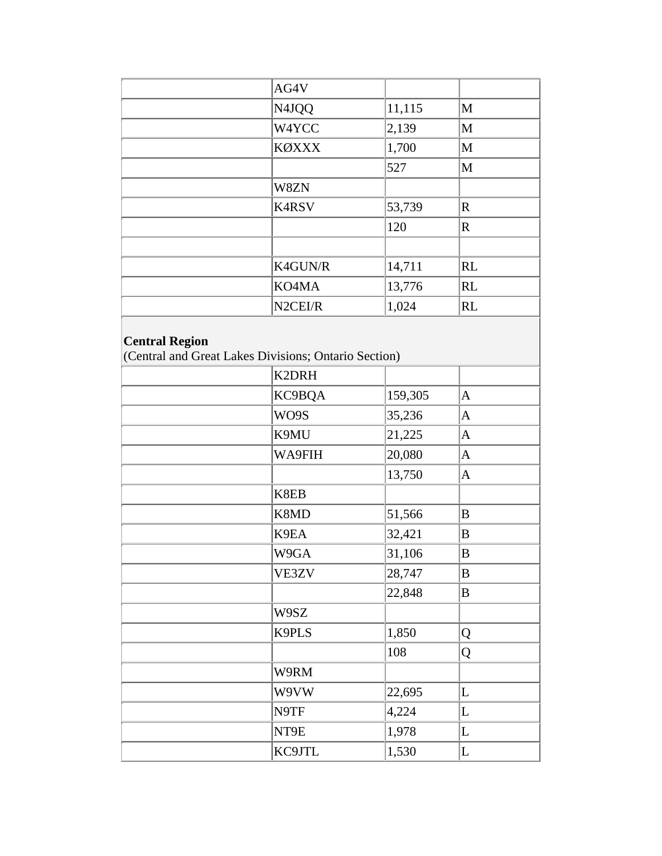|                       | AG4V                                                 |         |              |
|-----------------------|------------------------------------------------------|---------|--------------|
|                       | N4JQQ                                                | 11,115  | $\mathbf{M}$ |
|                       | W4YCC                                                | 2,139   | $\mathbf{M}$ |
|                       | <b>KØXXX</b>                                         | 1,700   | $\mathbf{M}$ |
|                       |                                                      | 527     | $\mathbf{M}$ |
|                       | W8ZN                                                 |         |              |
|                       | K4RSV                                                | 53,739  | $\mathbf R$  |
|                       |                                                      | 120     | $\mathbb{R}$ |
|                       |                                                      |         |              |
|                       | K4GUN/R                                              | 14,711  | RL           |
|                       | KO4MA                                                | 13,776  | RL           |
|                       | N2CEI/R                                              | 1,024   | RL           |
|                       | K2DRH                                                |         |              |
| <b>Central Region</b> | (Central and Great Lakes Divisions; Ontario Section) |         |              |
|                       |                                                      |         |              |
|                       | KC9BQA                                               | 159,305 | $\mathbf{A}$ |
|                       |                                                      |         |              |
|                       | WO9S                                                 | 35,236  | $\mathbf{A}$ |
|                       | K9MU                                                 | 21,225  | $\mathbf{A}$ |
|                       | WA9FIH                                               | 20,080  | $\mathbf{A}$ |
|                       |                                                      | 13,750  | $\mathbf{A}$ |
|                       | K8EB                                                 |         |              |
|                       | K8MD                                                 | 51,566  | B            |
|                       | K9EA                                                 | 32,421  | B            |
|                       | W9GA                                                 | 31,106  | $\, {\bf B}$ |
|                       | VE3ZV                                                | 28,747  | $\, {\bf B}$ |
|                       |                                                      | 22,848  | $\, {\bf B}$ |
|                       | W9SZ                                                 |         |              |
|                       | K9PLS                                                | 1,850   | Q            |
|                       |                                                      | 108     | Q            |
|                       | W9RM                                                 |         |              |
|                       | W9VW                                                 | 22,695  | L            |
|                       | N9TF                                                 | 4,224   | L            |
|                       | NT9E                                                 | 1,978   | L            |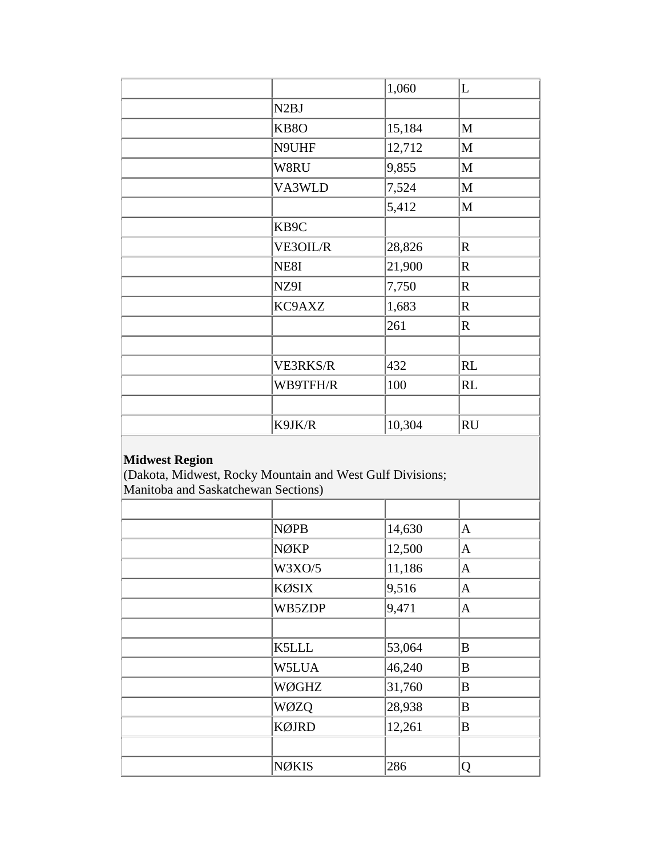|                   | 1,060  | L           |
|-------------------|--------|-------------|
| N <sub>2</sub> BJ |        |             |
| KB <sub>8</sub> O | 15,184 | M           |
| N9UHF             | 12,712 | M           |
| W8RU              | 9,855  | M           |
| VA3WLD            | 7,524  | M           |
|                   | 5,412  | M           |
| KB9C              |        |             |
| VE3OIL/R          | 28,826 | $\mathbf R$ |
| NE8I              | 21,900 | $\mathbf R$ |
| NZ9I              | 7,750  | $\mathbf R$ |
| KC9AXZ            | 1,683  | $\mathbf R$ |
|                   | 261    | $\mathbf R$ |
|                   |        |             |
| <b>VE3RKS/R</b>   | 432    | <b>RL</b>   |
| WB9TFH/R          | 100    | <b>RL</b>   |
|                   |        |             |
| K9JK/R            | 10,304 | <b>RU</b>   |

#### **Midwest Region**

(Dakota, Midwest, Rocky Mountain and West Gulf Divisions; Manitoba and Saskatchewan Sections)

| natureo ou una subnutence a un secubilis, |              |        |              |  |
|-------------------------------------------|--------------|--------|--------------|--|
|                                           |              |        |              |  |
|                                           | <b>NØPB</b>  | 14,630 | A            |  |
|                                           | NØKP         | 12,500 | $\mathbf{A}$ |  |
|                                           | W3XO/5       | 11,186 | A            |  |
|                                           | <b>KØSIX</b> | 9,516  | $\mathbf{A}$ |  |
|                                           | WB5ZDP       | 9,471  | A            |  |
|                                           |              |        |              |  |
|                                           | <b>K5LLL</b> | 53,064 | B            |  |
|                                           | W5LUA        | 46,240 | B            |  |
|                                           | WØGHZ        | 31,760 | B            |  |
|                                           | WØZQ         | 28,938 | B            |  |
|                                           | <b>KØJRD</b> | 12,261 | B            |  |
|                                           |              |        |              |  |
|                                           | <b>NØKIS</b> | 286    | Q            |  |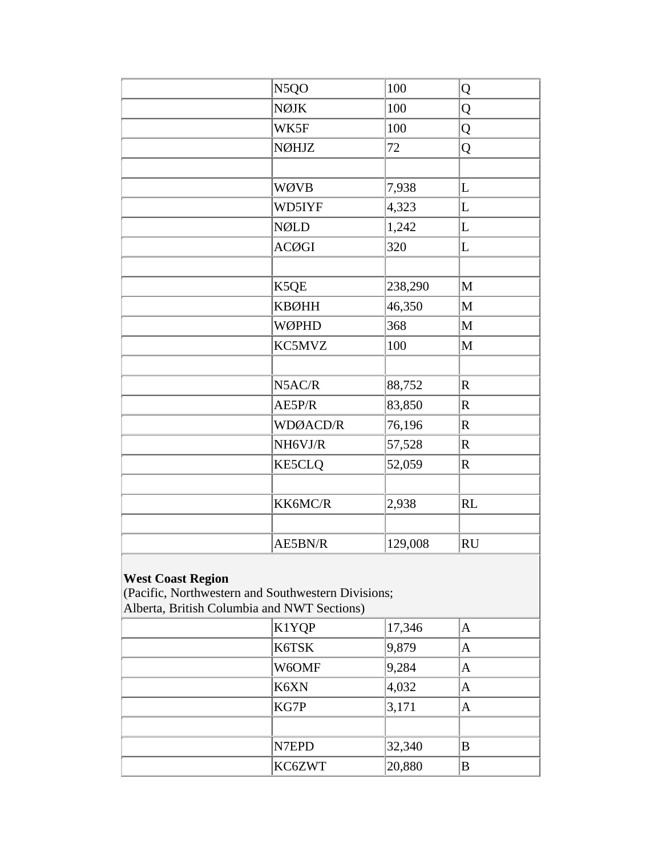| N5QO          | 100     | Q                                                                                                 |
|---------------|---------|---------------------------------------------------------------------------------------------------|
| <b>NØJK</b>   | 100     | Q                                                                                                 |
| WK5F          | 100     | Q                                                                                                 |
| NØHJZ         | 72      | Q                                                                                                 |
|               |         |                                                                                                   |
| WØVB          | 7,938   | $\mathbf L$                                                                                       |
| WD5IYF        | 4,323   | L                                                                                                 |
| <b>NØLD</b>   | 1,242   | L                                                                                                 |
| <b>ACØGI</b>  | 320     | L                                                                                                 |
|               |         |                                                                                                   |
| K5QE          | 238,290 | $\mathbf{M}$                                                                                      |
| <b>KBØHH</b>  | 46,350  | $\mathbf{M}$                                                                                      |
| WØPHD         | 368     | $\mathbf{M}$                                                                                      |
| KC5MVZ        | 100     | $\mathbf{M}$                                                                                      |
|               |         |                                                                                                   |
| N5AC/R        | 88,752  | $\overline{\text{R}}$                                                                             |
| AE5P/R        | 83,850  | $\mathbf R$                                                                                       |
| WDØACD/R      | 76,196  | $\mathbf R$                                                                                       |
| NH6VJ/R       | 57,528  | $\mathbf R$                                                                                       |
| <b>KE5CLQ</b> | 52,059  | $\mathbf R$                                                                                       |
|               |         |                                                                                                   |
| KK6MC/R       | 2,938   | <b>RL</b>                                                                                         |
|               |         |                                                                                                   |
| AE5BN/R       | 129,008 | <b>RU</b>                                                                                         |
|               |         |                                                                                                   |
| K1YQP         | 17,346  | $\mathbf{A}$                                                                                      |
| K6TSK         | 9,879   | $\mathbf{A}$                                                                                      |
| W6OMF         | 9,284   | $\mathbf{A}$                                                                                      |
| K6XN          | 4,032   | $\mathbf{A}$                                                                                      |
| KG7P          | 3,171   | $\mathbf{A}$                                                                                      |
|               |         |                                                                                                   |
| N7EPD         | 32,340  | B                                                                                                 |
| KC6ZWT        | 20,880  | B                                                                                                 |
|               |         | (Pacific, Northwestern and Southwestern Divisions;<br>Alberta, British Columbia and NWT Sections) |